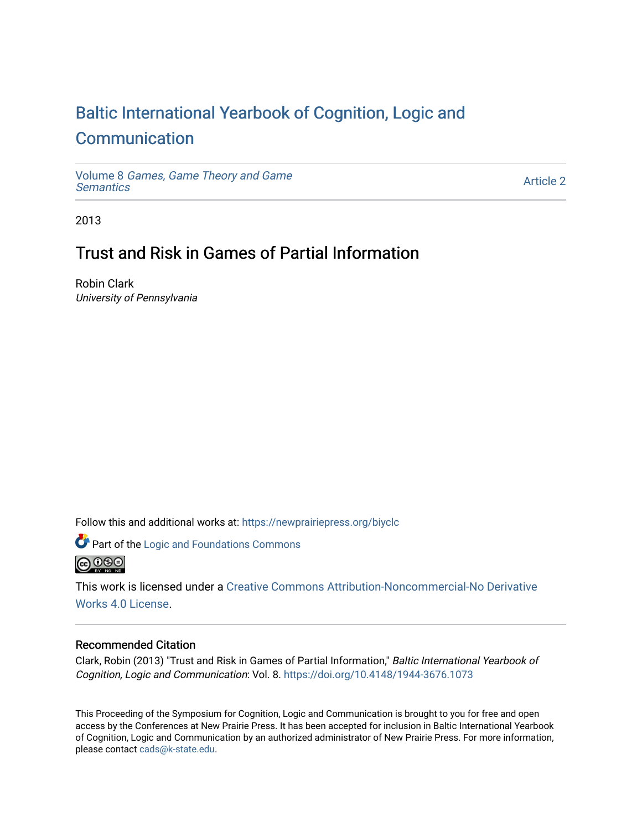# [Baltic International Yearbook of Cognition, Logic and](https://newprairiepress.org/biyclc)  **[Communication](https://newprairiepress.org/biyclc)**

Volume 8 [Games, Game Theory and Game](https://newprairiepress.org/biyclc/vol8) **Semantics** 

[Article 2](https://newprairiepress.org/biyclc/vol8/iss1/2) 

2013

## Trust and Risk in Games of Partial Information

Robin Clark University of Pennsylvania

Follow this and additional works at: [https://newprairiepress.org/biyclc](https://newprairiepress.org/biyclc?utm_source=newprairiepress.org%2Fbiyclc%2Fvol8%2Fiss1%2F2&utm_medium=PDF&utm_campaign=PDFCoverPages) 



*O* Part of the Logic and Foundations Commons



This work is licensed under a [Creative Commons Attribution-Noncommercial-No Derivative](https://creativecommons.org/licenses/by-nc-nd/4.0/)  [Works 4.0 License](https://creativecommons.org/licenses/by-nc-nd/4.0/).

## Recommended Citation

Clark, Robin (2013) "Trust and Risk in Games of Partial Information," Baltic International Yearbook of Cognition, Logic and Communication: Vol. 8. <https://doi.org/10.4148/1944-3676.1073>

This Proceeding of the Symposium for Cognition, Logic and Communication is brought to you for free and open access by the Conferences at New Prairie Press. It has been accepted for inclusion in Baltic International Yearbook of Cognition, Logic and Communication by an authorized administrator of New Prairie Press. For more information, please contact [cads@k-state.edu.](mailto:cads@k-state.edu)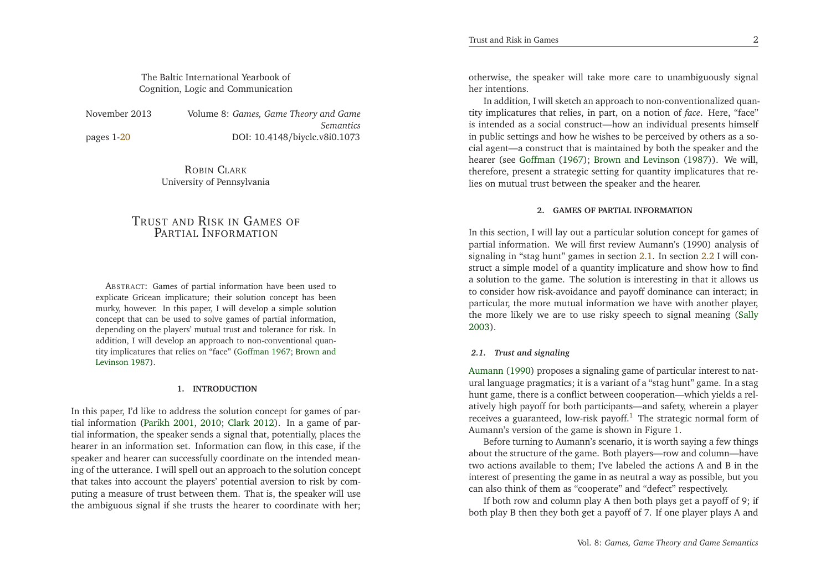### <span id="page-1-0"></span>The Baltic International Yearbook ofCognition, Logic and Communication

November 2013

pages 1[-20](#page-10-0)

 *Games, Game Theory and Game Semantics*DOI: 10.4148/biyclc.v8i0.1073

> ROBIN <sup>C</sup>LARK University of Pennsylvania

## <span id="page-1-1"></span>TRUST AND <sup>R</sup>ISK IN <sup>G</sup>AMES OF PARTIAL <sup>I</sup>NFORMATION

ABSTRACT: Games of partial information have been used to explicate Gricean implicature; their solution concep<sup>t</sup> has been murky, however. In this paper, <sup>I</sup> will develop <sup>a</sup> simple solution concep<sup>t</sup> that can be used to solve games of partial information, depending on the <sup>p</sup>layers' mutual trust and tolerance for risk. In addition, <sup>I</sup> will develop an approach to non-conventional quantity implicatures that relies on "face" [\(Goffman](#page-10-1) [1967](#page-10-1); Brown andLevinson [1987\)](#page-10-2).

#### **1. INTRODUCTION**

In this paper, I'd like to address the solution concep<sup>t</sup> for games of partial information [\(Parikh](#page-10-3) [2001](#page-10-3), [2010](#page-10-4); [Clark](#page-10-5) [2012](#page-10-5)). In <sup>a</sup> game of partial information, the speaker sends <sup>a</sup> signal that, potentially, <sup>p</sup>laces the hearer in an information set. Information can flow, in this case, if the speaker and hearer can successfully coordinate on the intended meaning of the utterance. <sup>I</sup> will spell out an approach to the solution concep<sup>t</sup> that takes into account the <sup>p</sup>layers' potential aversion to risk by computing <sup>a</sup> measure of trust between them. That is, the speaker will usethe ambiguous signal if she trusts the hearer to coordinate with her;

otherwise, the speaker will take more care to unambiguously signal her intentions.

In addition, <sup>I</sup> will sketch an approach to non-conventionalized quantity implicatures that relies, in part, on <sup>a</sup> notion of *face*. Here, "face" is intended as <sup>a</sup> social construct—how an individual presents himself in public settings and how he wishes to be perceived by others as <sup>a</sup> social agent—a construct that is maintained by both the speaker and the hearer (see [Goffman](#page-10-1) [\(1967](#page-10-1)); Brown and [Levinson](#page-10-2) [\(1987](#page-10-2))). We will, therefore, presen<sup>t</sup> <sup>a</sup> strategic setting for quantity implicatures that relies on mutual trust between the speaker and the hearer.

#### **2. GAMES OF PARTIAL INFORMATION**

In this section, <sup>I</sup> will lay out <sup>a</sup> particular solution concep<sup>t</sup> for games of partial information. We will first review Aumann's (1990) analysis of signaling in "stag hunt" games in section [2.1.](#page-1-0) In section [2.2](#page-3-0) <sup>I</sup> will construct <sup>a</sup> simple model of <sup>a</sup> quantity implicature and show how to find <sup>a</sup> solution to the game. The solution is interesting in that it allows us to consider how risk-avoidance and payoff dominance can interact; in particular, the more mutual information we have with another <sup>p</sup>layer, the more likely we are to use risky speech to signal meaning [\(Sally](#page-10-6)[2003](#page-10-6)).

#### *2.1. Trust and signaling*

Aumann [\(1990\)](#page-10-7) proposes <sup>a</sup> signaling game of particular interest to natural language pragmatics; it is <sup>a</sup> variant of <sup>a</sup> "stag hunt" game. In <sup>a</sup> stag hunt game, there is <sup>a</sup> conflict between cooperation—which <sup>y</sup>ields <sup>a</sup> relatively high payoff for both participants—and safety, wherein <sup>a</sup> <sup>p</sup>layerreceives a guaranteed, low-risk payoff.<sup>[1](#page-9-0)</sup> The strategic normal form of Aumann's version of the game is shown in Figure [1.](#page-2-0)

Before turning to Aumann's scenario, it is worth saying <sup>a</sup> few things about the structure of the game. Both <sup>p</sup>layers—row and column—have two actions available to them; I've labeled the actions <sup>A</sup> and <sup>B</sup> in the interest of presenting the game in as neutral <sup>a</sup> way as possible, but youcan also think of them as "cooperate" and "defect" respectively.

If both row and column <sup>p</sup>lay <sup>A</sup> then both <sup>p</sup>lays ge<sup>t</sup> <sup>a</sup> payoff of 9; ifboth <sup>p</sup>lay <sup>B</sup> then they both ge<sup>t</sup> <sup>a</sup> payoff of 7. If one <sup>p</sup>layer <sup>p</sup>lays <sup>A</sup> and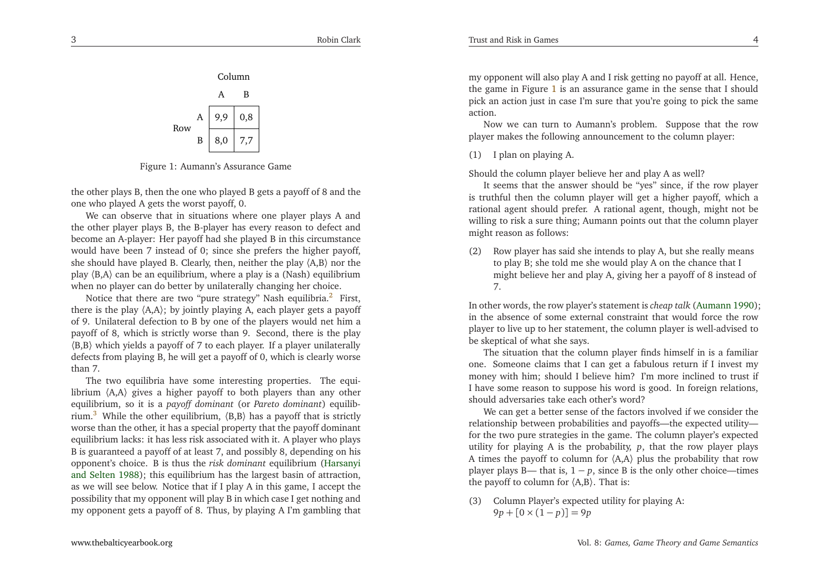<span id="page-2-2"></span>

Figure 1: Aumann's Assurance Game

the other <sup>p</sup>lays B, then the one who <sup>p</sup>layed <sup>B</sup> gets <sup>a</sup> payoff of <sup>8</sup> and theone who <sup>p</sup>layed <sup>A</sup> gets the worst payoff, 0.

We can observe that in situations where one <sup>p</sup>layer <sup>p</sup>lays <sup>A</sup> and the other <sup>p</sup>layer <sup>p</sup>lays B, the B-player has every reason to defect and become an A-player: Her payoff had she <sup>p</sup>layed <sup>B</sup> in this circumstance would have been <sup>7</sup> instead of 0; since she prefers the higher payoff, she should have <sup>p</sup>layed B. Clearly, then, neither the <sup>p</sup>lay 〈A,B〉 nor the play 〈B,A〉 can be an equilibrium, where <sup>a</sup> <sup>p</sup>lay is <sup>a</sup> (Nash) equilibriumwhen no <sup>p</sup>layer can do better by unilaterally changing her choice.

Notice that there are two "pure strategy" Nash equilibria.<sup>[2](#page-9-1)</sup> First, there is the <sup>p</sup>lay 〈A,A〉; by jointly <sup>p</sup>laying A, each <sup>p</sup>layer gets <sup>a</sup> payoff of 9. Unilateral defection to <sup>B</sup> by one of the <sup>p</sup>layers would net him <sup>a</sup> payoff of 8, which is strictly worse than 9. Second, there is the <sup>p</sup>lay 〈B,B〉 which <sup>y</sup>ields <sup>a</sup> payoff of <sup>7</sup> to each <sup>p</sup>layer. If <sup>a</sup> <sup>p</sup>layer unilaterally defects from <sup>p</sup>laying B, he will ge<sup>t</sup> <sup>a</sup> payoff of 0, which is clearly worsethan 7.

The two equilibria have some interesting properties. The equilibrium  $\langle A, A \rangle$  gives a higher payoff to both players than any other equilibrium, so it is <sup>a</sup> *payoff dominant* (or *Pareto dominant*) equilib-rium.<sup>[3](#page-9-2)</sup> While the other equilibrium,  $\langle B,B \rangle$  has a payoff that is strictly worse than the other, it has <sup>a</sup> special property that the payoff dominant equilibrium lacks: it has less risk associated with it. <sup>A</sup> <sup>p</sup>layer who <sup>p</sup>lays <sup>B</sup> is guaranteed <sup>a</sup> payoff of at least 7, and possibly 8, depending on his opponent's choice. <sup>B</sup> is thus the *risk dominant* e[q](#page-10-8)uilibrium (Harsanyi and Selten [1988](#page-10-8)); this equilibrium has the largest basin of attraction, as we will see below. Notice that if <sup>I</sup> <sup>p</sup>lay <sup>A</sup> in this game, <sup>I</sup> accep<sup>t</sup> the possibility that my opponen<sup>t</sup> will <sup>p</sup>lay <sup>B</sup> in which case <sup>I</sup> ge<sup>t</sup> nothing andmy opponen<sup>t</sup> gets <sup>a</sup> payoff of 8. Thus, by <sup>p</sup>laying <sup>A</sup> I'm gambling that

<span id="page-2-0"></span>my opponen<sup>t</sup> will also <sup>p</sup>lay <sup>A</sup> and <sup>I</sup> risk getting no payoff at all. Hence, the game in Figure [1](#page-2-0) is an assurance game in the sense that I should <sup>p</sup>ick an action just in case I'm sure that you're going to <sup>p</sup>ick the sameaction.

Now we can turn to Aumann's problem. Suppose that the row<sup>p</sup>layer makes the following announcement to the column <sup>p</sup>layer:

(1) <sup>I</sup> <sup>p</sup>lan on <sup>p</sup>laying A.

Should the column <sup>p</sup>layer believe her and <sup>p</sup>lay <sup>A</sup> as well?

 It seems that the answer should be "yes" since, if the row <sup>p</sup>layer is truthful then the column <sup>p</sup>layer will ge<sup>t</sup> <sup>a</sup> higher payoff, which <sup>a</sup> rational agen<sup>t</sup> should prefer. <sup>A</sup> rational agent, though, might not be willing to risk <sup>a</sup> sure thing; Aumann points out that the column <sup>p</sup>layermight reason as follows:

(2) Row <sup>p</sup>layer has said she intends to <sup>p</sup>lay A, but she really meansto <sup>p</sup>lay B; she told me she would <sup>p</sup>lay <sup>A</sup> on the chance that <sup>I</sup> might believe her and <sup>p</sup>lay A, <sup>g</sup>iving her <sup>a</sup> payoff of <sup>8</sup> instead of7.

In other words, the row <sup>p</sup>layer's statement is *cheap talk* [\(Aumann](#page-10-7) [1990](#page-10-7)); in the absence of some external constraint that would force the row <sup>p</sup>layer to live up to her statement, the column <sup>p</sup>layer is well-advised tobe skeptical of what she says.

<span id="page-2-1"></span>The situation that the column <sup>p</sup>layer finds himself in is <sup>a</sup> familiar one. Someone claims that <sup>I</sup> can ge<sup>t</sup> <sup>a</sup> fabulous return if <sup>I</sup> invest my money with him; should <sup>I</sup> believe him? I'm more inclined to trust if <sup>I</sup> have some reason to suppose his word is good. In foreign relations, should adversaries take each other's word?

 We can ge<sup>t</sup> <sup>a</sup> better sense of the factors involved if we consider the relationship between probabilities and payoffs—the expected utility for the two pure strategies in the game. The column <sup>p</sup>layer's expected utility for <sup>p</sup>laying <sup>A</sup> is the probability, *<sup>p</sup>*, that the row <sup>p</sup>layer <sup>p</sup>lays <sup>A</sup> times the payoff to column for 〈A,A〉 <sup>p</sup>lus the probability that row <sup>p</sup>layer <sup>p</sup>lays B— that is, <sup>1</sup>−*<sup>p</sup>*, since <sup>B</sup> is the only other choice—timesthe payoff to column for  $\langle A,B \rangle$ . That is:

(3) Column Player's expected utility for <sup>p</sup>laying A: $9p + [0 \times (1-p)] = 9p$ 

4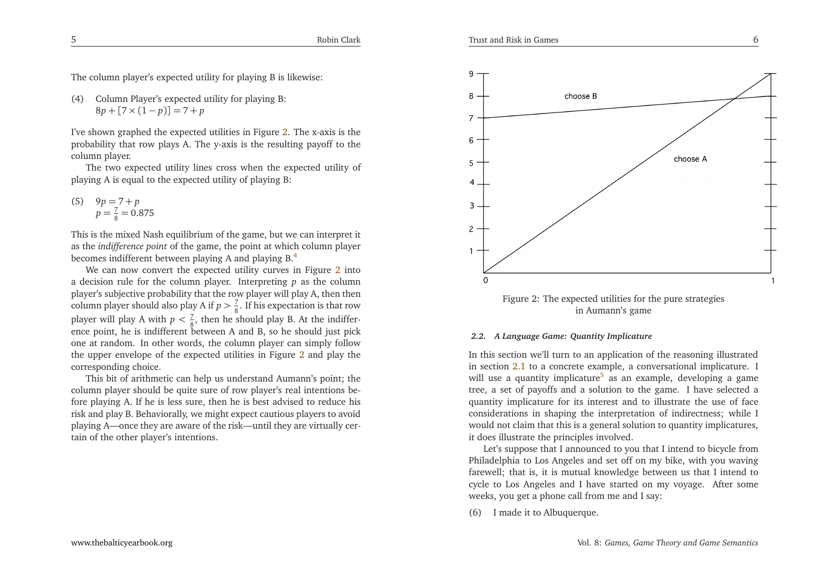<span id="page-3-2"></span>The column <sup>p</sup>layer's expected utility for <sup>p</sup>laying <sup>B</sup> is likewise:

(4) Column Player's expected utility for <sup>p</sup>laying B: $8p + [7 \times (1-p)] = 7 + p$ 

I've shown graphed the expected utilities in Figure [2](#page-3-1). The x-axis is the probability that row <sup>p</sup>lays A. The y-axis is the resulting payoff to thecolumn <sup>p</sup>layer.

The two expected utility lines cross when the expected utility of<sup>p</sup>laying <sup>A</sup> is equal to the expected utility of <sup>p</sup>laying B:

<span id="page-3-4"></span>(5)  $9p = 7 + p$  $p = \frac{7}{8} = 0.875$ 

This is the mixed Nash equilibrium of the game, but we can interpret it as the *indifference point* of the game, the point at which column <sup>p</sup>layer becomes indifferent between <sup>p</sup>laying <sup>A</sup> and <sup>p</sup>laying B.[4](#page-9-3)

We can now convert the expected utility curves in Figure [2](#page-3-1) into <sup>a</sup> decision rule for the column <sup>p</sup>layer. Interpreting *<sup>p</sup>* as the column <sup>p</sup>layer's subjective probability that the row <sup>p</sup>layer will <sup>p</sup>lay A, then thencolumn player should also play A if  $p > \frac{7}{8}$ . If his expectation is that row player will play A with  $p < \frac{7}{8}$ , then he should play B. At the indifference point, he is indifferent between <sup>A</sup> and B, so he should just <sup>p</sup>ick one at random. In other words, the column <sup>p</sup>layer can simply follow the upper envelope of the expected utilities in Figure [2](#page-3-1) and <sup>p</sup>lay the corresponding choice.

This bit of arithmetic can help us understand Aumann's point; the column <sup>p</sup>layer should be quite sure of row <sup>p</sup>layer's real intentions before <sup>p</sup>laying A. If he is less sure, then he is best advised to reduce his risk and <sup>p</sup>lay B. Behaviorally, we might expec<sup>t</sup> cautious <sup>p</sup>layers to avoid <sup>p</sup>laying A—once they are aware of the risk—until they are virtually certain of the other <sup>p</sup>layer's intentions.

<span id="page-3-1"></span><span id="page-3-0"></span>

Figure 2: The expected utilities for the pure strategiesin Aumann's game

#### <span id="page-3-3"></span>*2.2. <sup>A</sup> Language Game: Quantity Implicature*

In this section we'll turn to an application of the reasoning illustrated in section [2.1](#page-1-0) to <sup>a</sup> concrete example, <sup>a</sup> conversational implicature. <sup>I</sup> will use a quantity implicature<sup>[5](#page-9-4)</sup> as an example, developing a game tree, <sup>a</sup> set of payoffs and <sup>a</sup> solution to the game. <sup>I</sup> have selected <sup>a</sup> quantity implicature for its interest and to illustrate the use of face considerations in shaping the interpretation of indirectness; while <sup>I</sup> would not claim that this is <sup>a</sup> general solution to quantity implicatures, it does illustrate the principles involved.

Let's suppose that <sup>I</sup> announced to you that <sup>I</sup> intend to bicycle from Philadelphia to Los Angeles and set off on my bike, with you waving farewell; that is, it is mutual knowledge between us that <sup>I</sup> intend to cycle to Los Angeles and <sup>I</sup> have started on my voyage. After someweeks, you ge<sup>t</sup> <sup>a</sup> <sup>p</sup>hone call from me and <sup>I</sup> say:

(6) <sup>I</sup> made it to Albuquerque.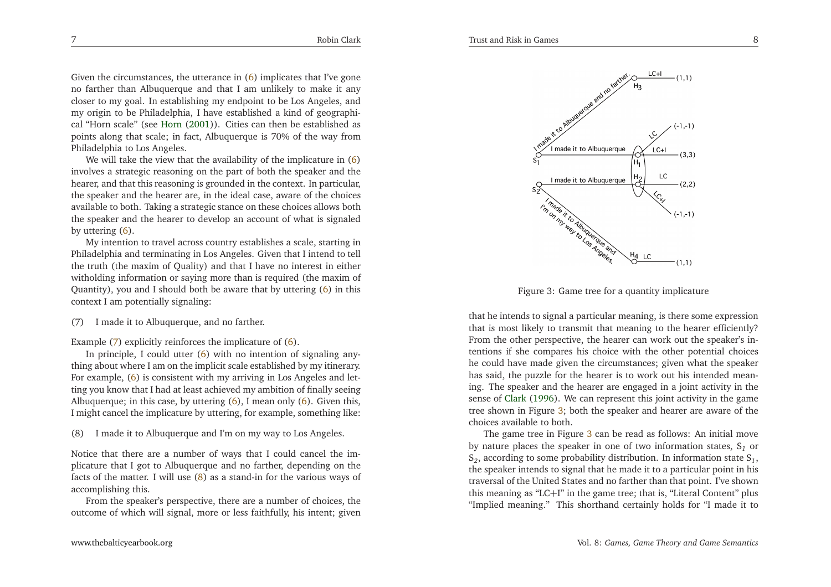<span id="page-4-1"></span><span id="page-4-0"></span>Given the circumstances, the utterance in [\(6\)](#page-3-2) implicates that I've gone no farther than Albuquerque and that <sup>I</sup> am unlikely to make it any closer to my goal. In establishing my endpoint to be Los Angeles, and my origin to be Philadelphia, <sup>I</sup> have established <sup>a</sup> kind of geographical "Horn scale" (see [Horn](#page-10-9) [\(2001\)](#page-10-9)). Cities can then be established as points along that scale; in fact, Albuquerque is 70% of the way fromPhiladelphia to Los Angeles.

We will take the view that the availability of the implicature in  $(6)$  involves <sup>a</sup> strategic reasoning on the par<sup>t</sup> of both the speaker and the hearer, and that this reasoning is grounded in the context. In particular, the speaker and the hearer are, in the ideal case, aware of the choices available to both. Taking <sup>a</sup> strategic stance on these choices allows both the speaker and the hearer to develop an account of what is signaledby uttering [\(6\)](#page-3-2).

 My intention to travel across country establishes <sup>a</sup> scale, starting in Philadelphia and terminating in Los Angeles. Given that <sup>I</sup> intend to tell the truth (the maxim of Quality) and that <sup>I</sup> have no interest in either witholding information or saying more than is required (the maxim of Quantity), you and I should both be aware that by uttering  $(6)$  in this context <sup>I</sup> am potentially signaling:

(7) <sup>I</sup> made it to Albuquerque, and no farther.

Example [\(7\)](#page-4-0) explicitly reinforces the implicature of [\(6\)](#page-3-2).

In principle, I could utter  $(6)$  with no intention of signaling anything about where <sup>I</sup> am on the implicit scale established by my itinerary. For example, [\(6\)](#page-3-2) is consistent with my arriving in Los Angeles and letting you know that <sup>I</sup> had at least achieved my ambition of finally seeing Albuquerque; in this case, by uttering [\(6\)](#page-3-2), <sup>I</sup> mean only [\(6\)](#page-3-2). Given this, <sup>I</sup> might cancel the implicature by uttering, for example, something like:

(8) <sup>I</sup> made it to Albuquerque and I'm on my way to Los Angeles.

Notice that there are <sup>a</sup> number of ways that <sup>I</sup> could cancel the im<sup>p</sup>licature that <sup>I</sup> go<sup>t</sup> to Albuquerque and no farther, depending on the facts of the matter. <sup>I</sup> will use [\(8\)](#page-4-1) as <sup>a</sup> stand-in for the various ways ofaccomplishing this.

From the speaker's perspective, there are <sup>a</sup> number of choices, theoutcome of which will signal, more or less faithfully, his intent; <sup>g</sup>iven

<span id="page-4-2"></span>

Figure 3: Game tree for <sup>a</sup> quantity implicature

that he intends to signal <sup>a</sup> particular meaning, is there some expression that is most likely to transmit that meaning to the hearer efficiently? From the other perspective, the hearer can work out the speaker's intentions if she compares his choice with the other potential choices he could have made <sup>g</sup>iven the circumstances; <sup>g</sup>iven what the speaker has said, the puzzle for the hearer is to work out his intended meaning. The speaker and the hearer are engaged in <sup>a</sup> joint activity in the sense of [Clark](#page-10-10) [\(1996](#page-10-10)). We can represen<sup>t</sup> this joint activity in the game tree shown in Figure [3;](#page-4-2) both the speaker and hearer are aware of the choices available to both.

The game tree in Figure [3](#page-4-2) can be read as follows: An initial move by nature <sup>p</sup>laces the speaker in one of two information states, <sup>S</sup>*<sup>1</sup>* or  $S_2$ , according to some probability distribution. In information state  $S_1$ , the speaker intends to signal that he made it to <sup>a</sup> particular point in his traversal of the United States and no farther than that point. I've shown this meaning as "LC+I" in the game tree; that is, "Literal Content" <sup>p</sup>lus"Implied meaning." This shorthand certainly holds for "I made it to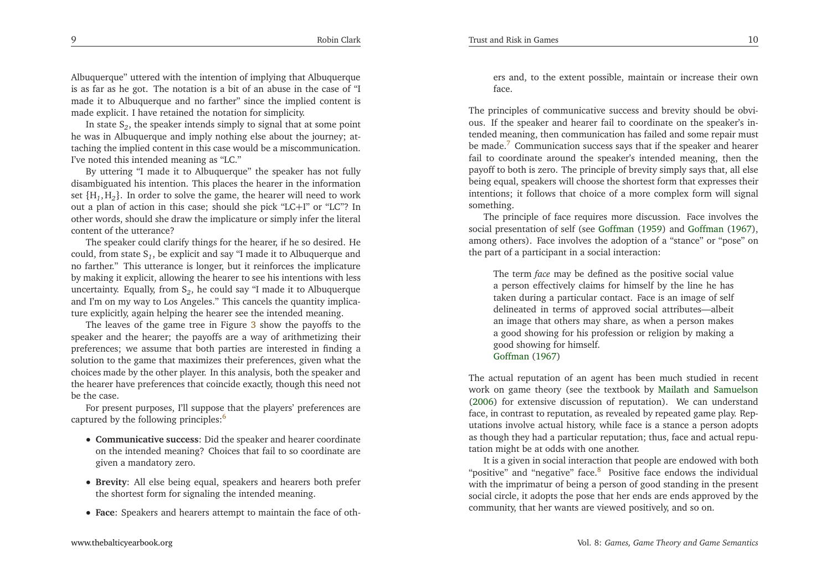Albuquerque" uttered with the intention of implying that Albuquerque is as far as he got. The notation is <sup>a</sup> bit of an abuse in the case of "I made it to Albuquerque and no farther" since the implied content ismade explicit. <sup>I</sup> have retained the notation for simplicity.

In state <sup>S</sup>*<sup>2</sup>*, the speaker intends simply to signal that at some point he was in Albuquerque and imply nothing else about the journey; attaching the implied content in this case would be <sup>a</sup> miscommunication. I've noted this intended meaning as "LC."

<span id="page-5-2"></span> By uttering "I made it to Albuquerque" the speaker has not fully disambiguated his intention. This <sup>p</sup>laces the hearer in the information set {H*1*, <sup>H</sup>*<sup>2</sup>*}. In order to solve the game, the hearer will need to work out <sup>a</sup> <sup>p</sup>lan of action in this case; should she <sup>p</sup>ick "LC<sup>+</sup>I" or "LC"? In other words, should she draw the implicature or simply infer the literal content of the utterance?

<span id="page-5-0"></span> The speaker could clarify things for the hearer, if he so desired. He could, from state <sup>S</sup>*<sup>1</sup>*, be explicit and say "I made it to Albuquerque and no farther." This utterance is longer, but it reinforces the implicature by making it explicit, allowing the hearer to see his intentions with less uncertainty. Equally, from <sup>S</sup>*<sup>2</sup>*, he could say "I made it to Albuquerque and I'm on my way to Los Angeles." This cancels the quantity implicature explicitly, again helping the hearer see the intended meaning.

The leaves of the game tree in Figure [3](#page-4-2) show the payoffs to the speaker and the hearer; the payoffs are <sup>a</sup> way of arithmetizing their preferences; we assume that both parties are interested in finding <sup>a</sup> solution to the game that maximizes their preferences, <sup>g</sup>iven what the choices made by the other <sup>p</sup>layer. In this analysis, both the speaker and the hearer have preferences that coincide exactly, though this need notbe the case.

For presen<sup>t</sup> purposes, I'll suppose that the <sup>p</sup>layers' preferences arecaptured by the following principles:<sup>[6](#page-10-11)</sup>

- **Communicative success**: Did the speaker and hearer coordinate on the intended meaning? Choices that fail to so coordinate are<sup>g</sup>iven <sup>a</sup> mandatory zero.
- **Brevity**: All else being equal, speakers and hearers both prefer the shortest form for signaling the intended meaning.
- **Face**: Speakers and hearers attempt to maintain the face of oth-

ers and, to the extent possible, maintain or increase their ownface.

<span id="page-5-1"></span>The principles of communicative success and brevity should be obvious. If the speaker and hearer fail to coordinate on the speaker's intended meaning, then communication has failed and some repair mustbe made.<sup>[7](#page-10-12)</sup> Communication success says that if the speaker and hearer fail to coordinate around the speaker's intended meaning, then the payoff to both is zero. The principle of brevity simply says that, all else being equal, speakers will choose the shortest form that expresses their intentions; it follows that choice of <sup>a</sup> more complex form will signalsomething.

The principle of face requires more discussion. Face involves the social presentation of self (see [Goffman](#page-10-13) [\(1959](#page-10-13)) and [Goffman](#page-10-1) [\(1967\)](#page-10-1), among others). Face involves the adoption of <sup>a</sup> "stance" or "pose" onthe par<sup>t</sup> of <sup>a</sup> participant in <sup>a</sup> social interaction:

The term *face* may be defined as the positive social value <sup>a</sup> person effectively claims for himself by the line he has taken during <sup>a</sup> particular contact. Face is an image of self delineated in terms of approved social attributes—albeit an image that others may share, as when <sup>a</sup> person makes <sup>a</sup> good showing for his profession or religion by making <sup>a</sup>good showing for himself. [Goffman](#page-10-1) [\(1967](#page-10-1))

The actual reputation of an agen<sup>t</sup> has been much studied in recent work on game theory (see the textbook by Mailath and [Samuelson](#page-10-14) [\(2006](#page-10-14)) for extensive discussion of reputation). We can understand face, in contrast to reputation, as revealed by repeated game <sup>p</sup>lay. Reputations involve actual history, while face is <sup>a</sup> stance <sup>a</sup> person adopts as though they had <sup>a</sup> particular reputation; thus, face and actual reputation might be at odds with one another.

It is <sup>a</sup> <sup>g</sup>iven in social interaction that people are endowed with both "positive" and "negative" face. [8](#page-10-15) Positive face endows the individual with the imprimatur of being <sup>a</sup> person of good standing in the presen<sup>t</sup> social circle, it adopts the pose that her ends are ends approved by thecommunity, that her wants are viewed positively, and so on.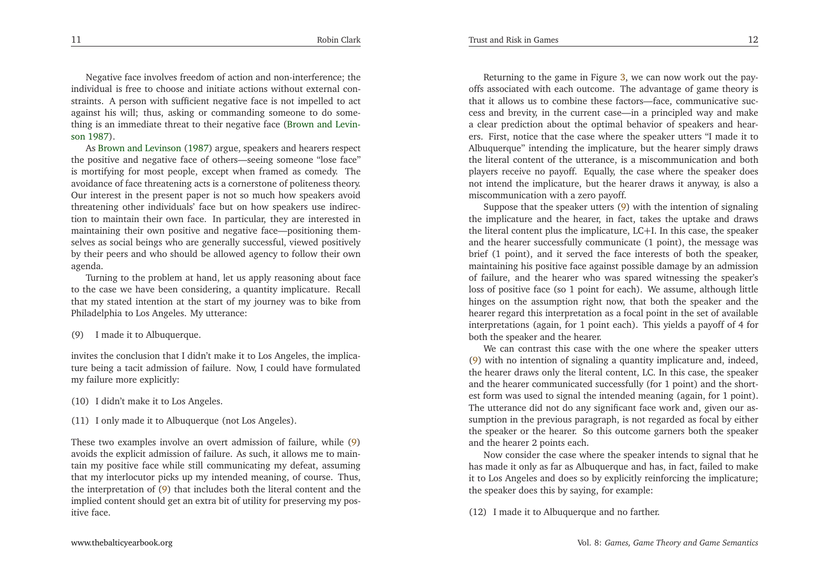Negative face involves freedom of action and non-interference; the individual is free to choose and initiate actions without external constraints. <sup>A</sup> person with sufficient negative face is not impelled to act against his will; thus, asking or commanding someone to do something is an immediate threat to their ne[g](#page-10-2)ative face (Brown and Levinson [1987](#page-10-2)).

As Brown and [Levinson](#page-10-2) [\(1987](#page-10-2)) argue, speakers and hearers respec<sup>t</sup> the positive and negative face of others—seeing someone "lose face" is mortifying for most people, excep<sup>t</sup> when framed as comedy. The avoidance of face threatening acts is <sup>a</sup> cornerstone of politeness theory. Our interest in the presen<sup>t</sup> paper is not so much how speakers avoid threatening other individuals' face but on how speakers use indirection to maintain their own face. In particular, they are interested in maintaining their own positive and negative face—positioning themselves as social beings who are generally successful, viewed positively by their peers and who should be allowed agency to follow their ownagenda.

 Turning to the problem at hand, let us apply reasoning about face to the case we have been considering, <sup>a</sup> quantity implicature. Recall that my stated intention at the start of my journey was to bike fromPhiladelphia to Los Angeles. My utterance:

(9) <sup>I</sup> made it to Albuquerque.

invites the conclusion that <sup>I</sup> didn't make it to Los Angeles, the implicature being <sup>a</sup> tacit admission of failure. Now, <sup>I</sup> could have formulatedmy failure more explicitly:

- (10) <sup>I</sup> didn't make it to Los Angeles.
- (11) <sup>I</sup> only made it to Albuquerque (not Los Angeles).

These two examples involve an overt admission of failure, while [\(9\)](#page-6-0) avoids the explicit admission of failure. As such, it allows me to maintain my positive face while still communicating my defeat, assuming that my interlocutor <sup>p</sup>icks up my intended meaning, of course. Thus, the interpretation of [\(9\)](#page-6-0) that includes both the literal content and the implied content should ge<sup>t</sup> an extra bit of utility for preserving my positive face.

[www.thebalticyearbook.org](http://www.thebalticyearbook.org/)

<span id="page-6-0"></span>Returning to the game in Figure [3,](#page-4-2) we can now work out the payoffs associated with each outcome. The advantage of game theory is that it allows us to combine these factors—face, communicative success and brevity, in the current case—in <sup>a</sup> principled way and make <sup>a</sup> clear prediction about the optimal behavior of speakers and hearers. First, notice that the case where the speaker utters "I made it to Albuquerque" intending the implicature, but the hearer simply draws the literal content of the utterance, is <sup>a</sup> miscommunication and both <sup>p</sup>layers receive no payoff. Equally, the case where the speaker does not intend the implicature, but the hearer draws it anyway, is also <sup>a</sup>miscommunication with <sup>a</sup> zero payoff.

Suppose that the speaker utters [\(9\)](#page-6-0) with the intention of signaling the implicature and the hearer, in fact, takes the uptake and draws the literal content <sup>p</sup>lus the implicature, LC+I. In this case, the speaker and the hearer successfully communicate (1 point), the message was brief (1 point), and it served the face interests of both the speaker, maintaining his positive face against possible damage by an admission of failure, and the hearer who was spared witnessing the speaker's loss of positive face (so <sup>1</sup> point for each). We assume, although little hinges on the assumption right now, that both the speaker and the hearer regard this interpretation as <sup>a</sup> focal point in the set of available interpretations (again, for <sup>1</sup> point each). This <sup>y</sup>ields <sup>a</sup> payoff of <sup>4</sup> forboth the speaker and the hearer.

We can contrast this case with the one where the speaker utters [\(9\)](#page-6-0) with no intention of signaling <sup>a</sup> quantity implicature and, indeed, the hearer draws only the literal content, LC. In this case, the speaker and the hearer communicated successfully (for <sup>1</sup> point) and the shortest form was used to signal the intended meaning (again, for <sup>1</sup> point). The utterance did not do any significant face work and, <sup>g</sup>iven our assumption in the previous paragraph, is not regarded as focal by either the speaker or the hearer. So this outcome garners both the speakerand the hearer <sup>2</sup> points each.

Now consider the case where the speaker intends to signal that he has made it only as far as Albuquerque and has, in fact, failed to make it to Los Angeles and does so by explicitly reinforcing the implicature;the speaker does this by saying, for example:

(12) <sup>I</sup> made it to Albuquerque and no farther.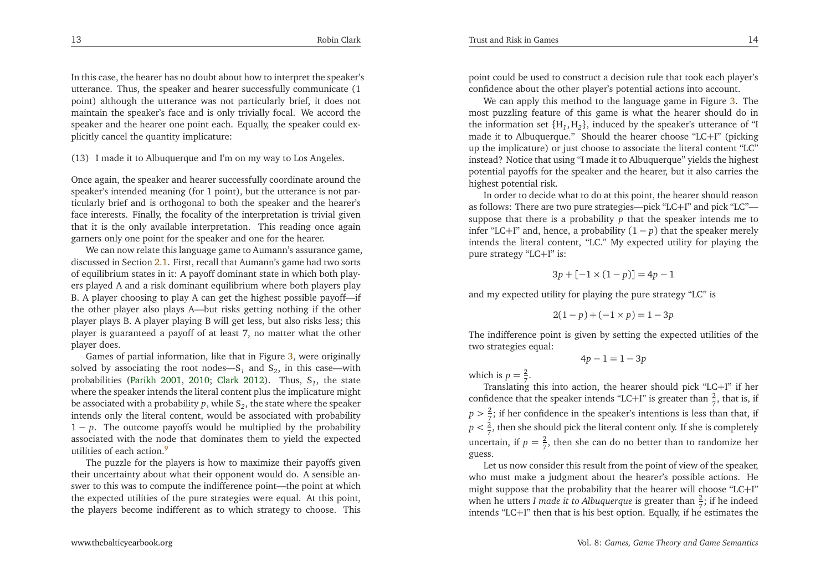In this case, the hearer has no doubt about how to interpret the speaker'sutterance. Thus, the speaker and hearer successfully communicate (1 point) although the utterance was not particularly brief, it does not maintain the speaker's face and is only trivially focal. We accord the speaker and the hearer one point each. Equally, the speaker could ex<sup>p</sup>licitly cancel the quantity implicature:

#### <span id="page-7-0"></span>(13) <sup>I</sup> made it to Albuquerque and I'm on my way to Los Angeles.

Once again, the speaker and hearer successfully coordinate around the speaker's intended meaning (for <sup>1</sup> point), but the utterance is not particularly brief and is orthogonal to both the speaker and the hearer's face interests. Finally, the focality of the interpretation is trivial <sup>g</sup>iven that it is the only available interpretation. This reading once againgarners only one point for the speaker and one for the hearer.

We can now relate this language game to Aumann's assurance game, discussed in Section [2.1.](#page-1-0) First, recall that Aumann's game had two sorts of equilibrium states in it: <sup>A</sup> payoff dominant state in which both <sup>p</sup>layers <sup>p</sup>layed <sup>A</sup> and <sup>a</sup> risk dominant equilibrium where both <sup>p</sup>layers <sup>p</sup>lay B. <sup>A</sup> <sup>p</sup>layer choosing to <sup>p</sup>lay <sup>A</sup> can ge<sup>t</sup> the highest possible payoff—if the other <sup>p</sup>layer also <sup>p</sup>lays A—but risks getting nothing if the other <sup>p</sup>layer <sup>p</sup>lays B. <sup>A</sup> <sup>p</sup>layer <sup>p</sup>laying <sup>B</sup> will ge<sup>t</sup> less, but also risks less; this <sup>p</sup>layer is guaranteed <sup>a</sup> payoff of at least 7, no matter what the other <sup>p</sup>layer does.

Games of partial information, like that in Figure [3,](#page-4-2) were originallysolved by associating the root nodes—S<sub>1</sub> and S<sub>2</sub>, in this case—with probabilities [\(Parikh](#page-10-3) [2001](#page-10-3), [2010](#page-10-4); [Clark](#page-10-5) [2012](#page-10-5)). Thus, <sup>S</sup>*<sup>1</sup>*, the state where the speaker intends the literal content <sup>p</sup>lus the implicature mightbe associated with <sup>a</sup> probability*<sup>p</sup>*, while <sup>S</sup>*<sup>2</sup>*, the state where the speaker intends only the literal content, would be associated with probability 1 <sup>−</sup>*<sup>p</sup>*. The outcome payoffs would be multiplied by the probability associated with the node that dominates them to <sup>y</sup>ield the expectedutilities of each action. [9](#page-10-16)

The puzzle for the <sup>p</sup>layers is how to maximize their payoffs <sup>g</sup>iven their uncertainty about what their opponen<sup>t</sup> would do. <sup>A</sup> sensible answer to this was to compute the indifference point—the point at which the expected utilities of the pure strategies were equal. At this point, the <sup>p</sup>layers become indifferent as to which strategy to choose. This point could be used to construct <sup>a</sup> decision rule that took each <sup>p</sup>layer'sconfidence about the other <sup>p</sup>layer's potential actions into account.

We can apply this method to the language game in Figure [3.](#page-4-2) The most puzzling feature of this game is what the hearer should do in the information set {H*1*, <sup>H</sup>*<sup>2</sup>*}, induced by the speaker's utterance of "I made it to Albuquerque." Should the hearer choose "LC<sup>+</sup>I" (picking up the implicature) or just choose to associate the literal content "LC" instead? Notice that using "I made it to Albuquerque" <sup>y</sup>ields the highest potential payoffs for the speaker and the hearer, but it also carries the highest potential risk.

In order to decide what to do at this point, the hearer should reason as follows: There are two pure strategies—pick "LC<sup>+</sup>I" and <sup>p</sup>ick "LC"— suppose that there is <sup>a</sup> probability*p* that the speaker intends me toinfer "LC+I" and, hence, a probability  $(1-p)$  that the speaker merely intends the literal content, "LC." My expected utility for <sup>p</sup>laying thepure strategy "LC<sup>+</sup>I" is:

$$
3p + [-1 \times (1 - p)] = 4p - 1
$$

and my expected utility for <sup>p</sup>laying the pure strategy "LC" is

$$
2(1-p) + (-1 \times p) = 1 - 3p
$$

The indifference point is <sup>g</sup>iven by setting the expected utilities of thetwo strategies equal:

4*p*− <sup>1</sup> <sup>=</sup> <sup>1</sup> <sup>−</sup> <sup>3</sup>*<sup>p</sup>*

which is  $p=\frac{2}{7}$ .

 Translating this into action, the hearer should <sup>p</sup>ick "LC<sup>+</sup>I" if herconfidence that the speaker intends "LC+I" is greater than  $\frac{2}{7}$ , that is, if  $p > \frac{2}{7}$ ; if her confidence in the speaker's intentions is less than that, if  $p < \frac{2}{7}$ , then she should pick the literal content only. If she is completely uncertain, if  $p = \frac{2}{7}$ , then she can do no better than to randomize her guess.

Let us now consider this result from the point of view of the speaker, who must make <sup>a</sup> judgment about the hearer's possible actions. He might suppose that the probability that the hearer will choose "LC+I"when he utters *I* made it to Albuquerque is greater than  $\frac{2}{7}$ ; if he indeed intends "LC<sup>+</sup>I" then that is his best option. Equally, if he estimates the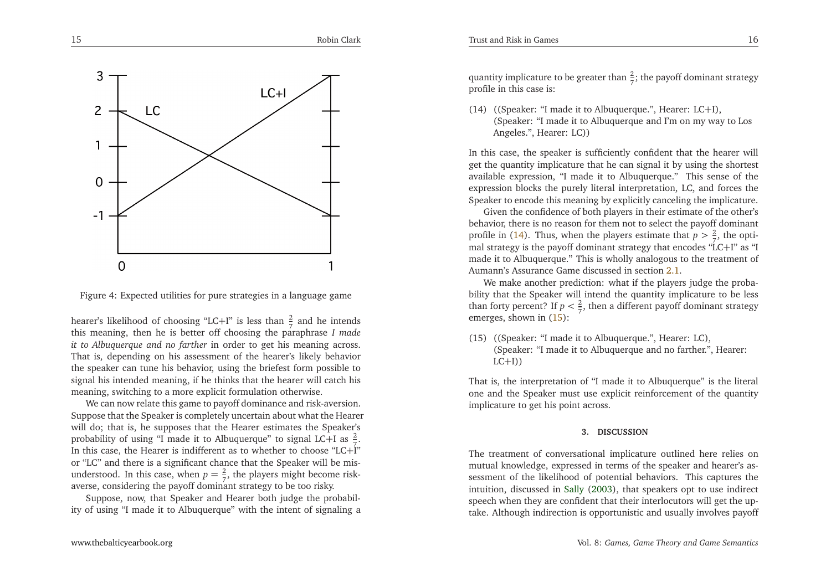

<span id="page-8-1"></span>

Figure 4: Expected utilities for pure strategies in <sup>a</sup> language game

hearer's likelihood of choosing "LC+I" is less than  $\frac{2}{7}$  and he intends this meaning, then he is better off choosing the paraphrase *<sup>I</sup> made it to Albuquerque and no farther* in order to ge<sup>t</sup> his meaning across. That is, depending on his assessment of the hearer's likely behavior the speaker can tune his behavior, using the briefest form possible to signal his intended meaning, if he thinks that the hearer will catch hismeaning, switching to <sup>a</sup> more explicit formulation otherwise.

We can now relate this game to payoff dominance and risk-aversion. Suppose that the Speaker is completely uncertain about what the Hearer will do; that is, he supposes that the Hearer estimates the Speaker'sprobability of using "I made it to Albuquerque" to signal LC+I as  $\frac{2}{7}$ In this case, the Hearer is indifferent as to whether to choose "LC+I" or "LC" and there is <sup>a</sup> significant chance that the Speaker will be misunderstood. In this case, when  $p = \frac{2}{7}$ , the players might become riskaverse, considering the payoff dominant strategy to be too risky.

Suppose, now, that Speaker and Hearer both judge the probability of using "I made it to Albuquerque" with the intent of signaling <sup>a</sup>

quantity implicature to be greater than  $\frac{2}{7}$ ; the payoff dominant strategy profile in this case is:

<span id="page-8-0"></span>Trust and Risk in Games

(14) ((Speaker: "I made it to Albuquerque.", Hearer: LC+I), (Speaker: "I made it to Albuquerque and I'm on my way to LosAngeles.", Hearer: LC))

In this case, the speaker is sufficiently confident that the hearer will ge<sup>t</sup> the quantity implicature that he can signal it by using the shortest available expression, "I made it to Albuquerque." This sense of the expression blocks the purely literal interpretation, LC, and forces theSpeaker to encode this meaning by explicitly canceling the implicature.

Given the confidence of both <sup>p</sup>layers in their estimate of the other's behavior, there is no reason for them not to select the payoff dominantprofile in [\(14\)](#page-8-0). Thus, when the players estimate that  $p > \frac{2}{3}$ , the opti-<br>real strategy is the name of dominant strategy that angeles  $\frac{47}{10}$  C i.<sup>177</sup> ce  $\frac{61}{10}$ mal strategy is the payoff dominant strategy that encodes " $LC+I$ " as "I made it to Albuquerque." This is wholly analogous to the treatment ofAumann's Assurance Game discussed in section [2.1](#page-1-0).

We make another prediction: what if the <sup>p</sup>layers judge the probability that the Speaker will intend the quantity implicature to be lessthan forty percent? If  $p < \frac{2}{7}$ , then a different payoff dominant strategy emerges, shown in [\(15\)](#page-8-1):

(15) ((Speaker: "I made it to Albuquerque.", Hearer: LC), (Speaker: "I made it to Albuquerque and no farther.", Hearer: $LC+I$ )

That is, the interpretation of "I made it to Albuquerque" is the literal one and the Speaker must use explicit reinforcement of the quantityimplicature to ge<sup>t</sup> his point across.

#### **3. DISCUSSION**

The treatment of conversational implicature outlined here relies on mutual knowledge, expressed in terms of the speaker and hearer's assessment of the likelihood of potential behaviors. This captures the intuition, discussed in [Sally](#page-10-6) [\(2003](#page-10-6)), that speakers op<sup>t</sup> to use indirect speech when they are confident that their interlocutors will ge<sup>t</sup> the uptake. Although indirection is opportunistic and usually involves payoff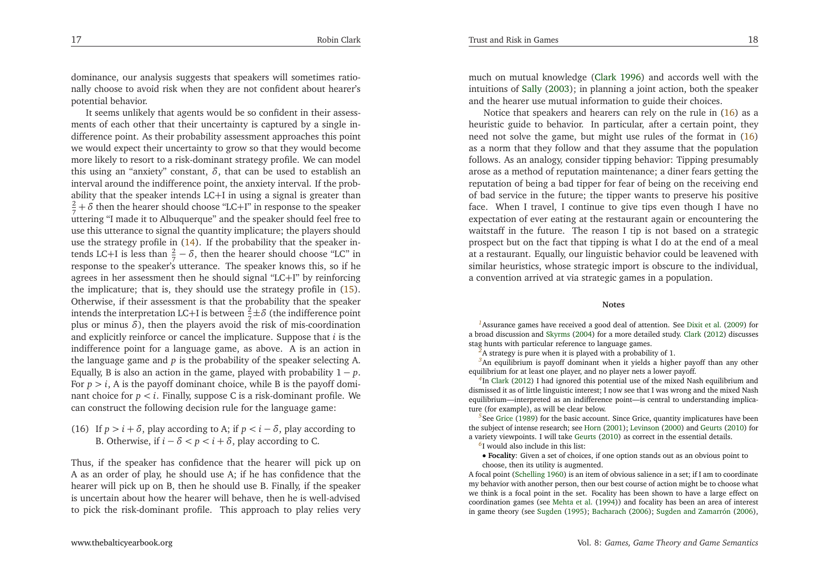<span id="page-9-5"></span><span id="page-9-2"></span><span id="page-9-1"></span>dominance, our analysis suggests that speakers will sometimes rationally choose to avoid risk when they are not confident about hearer'spotential behavior.

<span id="page-9-4"></span><span id="page-9-3"></span>It seems unlikely that agents would be so confident in their assessments of each other that their uncertainty is captured by <sup>a</sup> single indifference point. As their probability assessment approaches this point we would expec<sup>t</sup> their uncertainty to grow so that they would become more likely to resort to <sup>a</sup> risk-dominant strategy profile. We can model this using an "anxiety" constant,  $\delta$ , that can be used to establish an interval around the indifference point, the anxiety interval. If the probability that the speaker intends LC+<sup>I</sup> in using <sup>a</sup> signal is greater than $\frac{2}{7} + \delta$  then the hearer should choose "LC+I" in response to the speaker uttering "I made it to Albuquerque" and the speaker should feel free to use this utterance to signal the quantity implicature; the <sup>p</sup>layers shoulduse the strategy profile in [\(14\)](#page-8-0). If the probability that the speaker intends LC+I is less than  $\frac{2}{7} - \delta$ , then the hearer should choose "LC" in response to the speaker's utterance. The speaker knows this, so if he agrees in her assessment then he should signal "LC+I" by reinforcing the implicature; that is, they should use the strategy profile in [\(15\)](#page-8-1). Otherwise, if their assessment is that the probability that the speakerintends the interpretation LC+I is between  $\frac{2}{7} \pm \delta$  (the indifference point <sup>p</sup>lus or minus *<sup>δ</sup>*), then the <sup>p</sup>layers avoid the risk of mis-coordination and explicitly reinforce or cancel the implicature. Suppose that *<sup>i</sup>* is the indifference point for <sup>a</sup> language game, as above. <sup>A</sup> is an action in the language game and *<sup>p</sup>* is the probability of the speaker selecting A. Equally, <sup>B</sup> is also an action in the game, <sup>p</sup>layed with probability <sup>1</sup> <sup>−</sup> *<sup>p</sup>*. For  $p > i$ , A is the payoff dominant choice, while B is the payoff dominant choice for *p <sup>&</sup>lt; <sup>i</sup>*. Finally, suppose <sup>C</sup> is <sup>a</sup> risk-dominant profile. We can construct the following decision rule for the language game:

<span id="page-9-0"></span>(16) If  $p > i + \delta$ , play according to A; if  $p < i - \delta$ , play according to B. Otherwise, if  $i - \delta < p < i + \delta$ , play according to C.

Thus, if the speaker has confidence that the hearer will <sup>p</sup>ick up on <sup>A</sup> as an order of <sup>p</sup>lay, he should use A; if he has confidence that the hearer will <sup>p</sup>ick up on B, then he should use B. Finally, if the speaker is uncertain about how the hearer will behave, then he is well-advisedto <sup>p</sup>ick the risk-dominant profile. This approach to <sup>p</sup>lay relies very

much on mutual knowledge [\(Clark](#page-10-10) [1996](#page-10-10)) and accords well with the intuitions of [Sally](#page-10-6) [\(2003](#page-10-6)); in <sup>p</sup>lanning <sup>a</sup> joint action, both the speaker and the hearer use mutual information to guide their choices.

Notice that speakers and hearers can rely on the rule in [\(16\)](#page-9-5) as <sup>a</sup> heuristic guide to behavior. In particular, after <sup>a</sup> certain point, they need not solve the game, but might use rules of the format in [\(16\)](#page-9-5) as <sup>a</sup> norm that they follow and that they assume that the population follows. As an analogy, consider tipping behavior: Tipping presumably arose as <sup>a</sup> method of reputation maintenance; <sup>a</sup> diner fears getting the reputation of being <sup>a</sup> bad tipper for fear of being on the receiving end of bad service in the future; the tipper wants to preserve his positive face. When <sup>I</sup> travel, <sup>I</sup> continue to <sup>g</sup>ive tips even though <sup>I</sup> have no expectation of ever eating at the restaurant again or encountering the waitstaff in the future. The reason <sup>I</sup> tip is not based on <sup>a</sup> strategic prospec<sup>t</sup> but on the fact that tipping is what <sup>I</sup> do at the end of <sup>a</sup> meal at <sup>a</sup> restaurant. Equally, our linguistic behavior could be leavened with similar heuristics, whose strategic import is obscure to the individual, <sup>a</sup> convention arrived at via strategic games in <sup>a</sup> population.

#### **Notes**

*[1](#page-1-1)*Assurance games have received <sup>a</sup> good deal of attention. See [Dixit](#page-10-17) et al. [\(2009](#page-10-17)) for <sup>a</sup> broad discussion and [Skyrms](#page-10-18) [\(2004\)](#page-10-18) for <sup>a</sup> more detailed study. [Clark](#page-10-5) [\(2012](#page-10-5)) discusses stag hunts with particular reference to language games.

*[2](#page-2-1)*<sup>A</sup> strategy is pure when it is <sup>p</sup>layed with <sup>a</sup> probability of 1.

*[3](#page-2-2)*An equilibrium is payoff dominant when it <sup>y</sup>ields <sup>a</sup> higher payoff than any otherequilibrium for at least one <sup>p</sup>layer, and no <sup>p</sup>layer nets <sup>a</sup> lower payoff.

*[4](#page-3-3)*In [Clark](#page-10-5) [\(2012](#page-10-5)) <sup>I</sup> had ignored this potential use of the mixed Nash equilibrium and dismissed it as of little linguistic interest; <sup>I</sup> now see that <sup>I</sup> was wrong and the mixed Nash equilibrium—interpreted as an indifference point—is central to understanding implicature (for example), as will be clear below.

*[5](#page-3-4)*See [Grice](#page-10-19) [\(1989](#page-10-19)) for the basic account. Since Grice, quantity implicatures have been the subject of intense research; see [Horn](#page-10-9) [\(2001](#page-10-9)); [Levinson](#page-10-20) [\(2000](#page-10-20)) and [Geurts](#page-10-21) [\(2010\)](#page-10-21) for <sup>a</sup> variety viewpoints. <sup>I</sup> will take [Geurts](#page-10-21) [\(2010](#page-10-21)) as correct in the essential details.

*[6](#page-5-0)*<sup>I</sup> would also include in this list:

 • **Focality**: Given <sup>a</sup> set of choices, if one option stands out as an obvious point tochoose, then its utility is augmented.

<sup>A</sup> focal point [\(Schelling](#page-10-22) [1960](#page-10-22)) is an item of obvious salience in <sup>a</sup> set; if <sup>I</sup> am to coordinate my behavior with another person, then our best course of action might be to choose what we think is <sup>a</sup> focal point in the set. Focality has been shown to have <sup>a</sup> large effect on coordination games (see [Mehta](#page-10-23) et al. [\(1994](#page-10-23))) and focality has been an area of interest in game theory (see [Sugden](#page-10-24) [\(1995\)](#page-10-24); [Bacharach](#page-10-25) [\(2006](#page-10-25)); Sugden and [Zamarrón](#page-10-26) [\(2006](#page-10-26)),